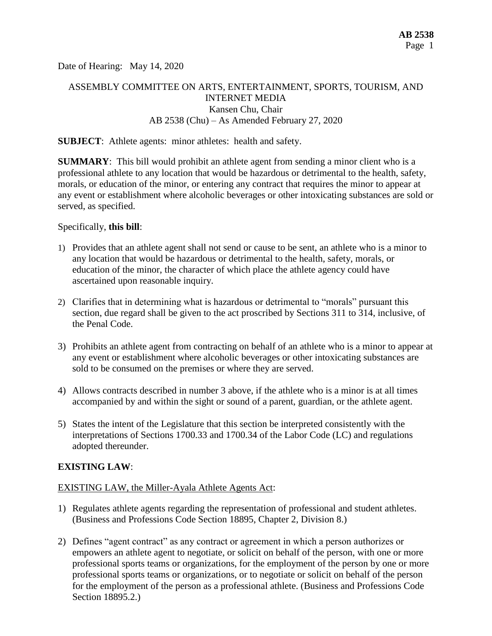Date of Hearing: May 14, 2020

# ASSEMBLY COMMITTEE ON ARTS, ENTERTAINMENT, SPORTS, TOURISM, AND INTERNET MEDIA Kansen Chu, Chair AB 2538 (Chu) – As Amended February 27, 2020

#### **SUBJECT**: Athlete agents: minor athletes: health and safety.

**SUMMARY**: This bill would prohibit an athlete agent from sending a minor client who is a professional athlete to any location that would be hazardous or detrimental to the health, safety, morals, or education of the minor, or entering any contract that requires the minor to appear at any event or establishment where alcoholic beverages or other intoxicating substances are sold or served, as specified.

#### Specifically, **this bill**:

- 1) Provides that an athlete agent shall not send or cause to be sent, an athlete who is a minor to any location that would be hazardous or detrimental to the health, safety, morals, or education of the minor, the character of which place the athlete agency could have ascertained upon reasonable inquiry.
- 2) Clarifies that in determining what is hazardous or detrimental to "morals" pursuant this section, due regard shall be given to the act proscribed by Sections 311 to 314, inclusive, of the Penal Code.
- 3) Prohibits an athlete agent from contracting on behalf of an athlete who is a minor to appear at any event or establishment where alcoholic beverages or other intoxicating substances are sold to be consumed on the premises or where they are served.
- 4) Allows contracts described in number 3 above, if the athlete who is a minor is at all times accompanied by and within the sight or sound of a parent, guardian, or the athlete agent.
- 5) States the intent of the Legislature that this section be interpreted consistently with the interpretations of Sections 1700.33 and 1700.34 of the Labor Code (LC) and regulations adopted thereunder.

### **EXISTING LAW**:

#### EXISTING LAW, the Miller-Ayala Athlete Agents Act:

- 1) Regulates athlete agents regarding the representation of professional and student athletes. (Business and Professions Code Section 18895, Chapter 2, Division 8.)
- 2) Defines "agent contract" as any contract or agreement in which a person authorizes or empowers an athlete agent to negotiate, or solicit on behalf of the person, with one or more professional sports teams or organizations, for the employment of the person by one or more professional sports teams or organizations, or to negotiate or solicit on behalf of the person for the employment of the person as a professional athlete. (Business and Professions Code Section 18895.2.)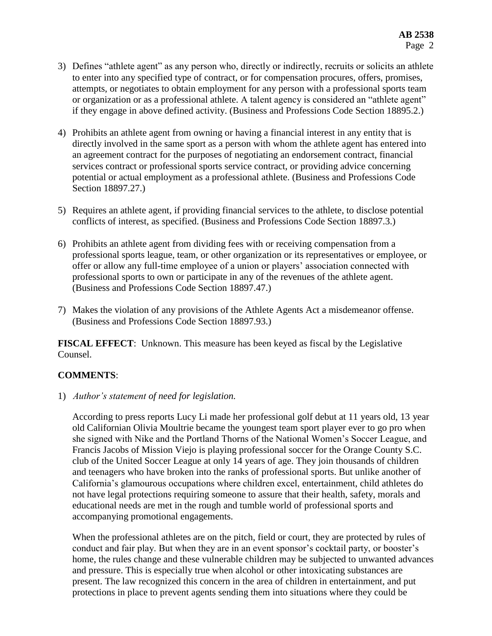- 3) Defines "athlete agent" as any person who, directly or indirectly, recruits or solicits an athlete to enter into any specified type of contract, or for compensation procures, offers, promises, attempts, or negotiates to obtain employment for any person with a professional sports team or organization or as a professional athlete. A talent agency is considered an "athlete agent" if they engage in above defined activity. (Business and Professions Code Section 18895.2.)
- 4) Prohibits an athlete agent from owning or having a financial interest in any entity that is directly involved in the same sport as a person with whom the athlete agent has entered into an agreement contract for the purposes of negotiating an endorsement contract, financial services contract or professional sports service contract, or providing advice concerning potential or actual employment as a professional athlete. (Business and Professions Code Section 18897.27.)
- 5) Requires an athlete agent, if providing financial services to the athlete, to disclose potential conflicts of interest, as specified. (Business and Professions Code Section 18897.3.)
- 6) Prohibits an athlete agent from dividing fees with or receiving compensation from a professional sports league, team, or other organization or its representatives or employee, or offer or allow any full-time employee of a union or players' association connected with professional sports to own or participate in any of the revenues of the athlete agent. (Business and Professions Code Section 18897.47.)
- 7) Makes the violation of any provisions of the Athlete Agents Act a misdemeanor offense. (Business and Professions Code Section 18897.93.)

**FISCAL EFFECT**: Unknown. This measure has been keyed as fiscal by the Legislative Counsel.

## **COMMENTS**:

1) *Author's statement of need for legislation.*

According to press reports Lucy Li made her professional golf debut at 11 years old, 13 year old Californian Olivia Moultrie became the youngest team sport player ever to go pro when she signed with Nike and the Portland Thorns of the National Women's Soccer League, and Francis Jacobs of Mission Viejo is playing professional soccer for the Orange County S.C. club of the United Soccer League at only 14 years of age. They join thousands of children and teenagers who have broken into the ranks of professional sports. But unlike another of California's glamourous occupations where children excel, entertainment, child athletes do not have legal protections requiring someone to assure that their health, safety, morals and educational needs are met in the rough and tumble world of professional sports and accompanying promotional engagements.

When the professional athletes are on the pitch, field or court, they are protected by rules of conduct and fair play. But when they are in an event sponsor's cocktail party, or booster's home, the rules change and these vulnerable children may be subjected to unwanted advances and pressure. This is especially true when alcohol or other intoxicating substances are present. The law recognized this concern in the area of children in entertainment, and put protections in place to prevent agents sending them into situations where they could be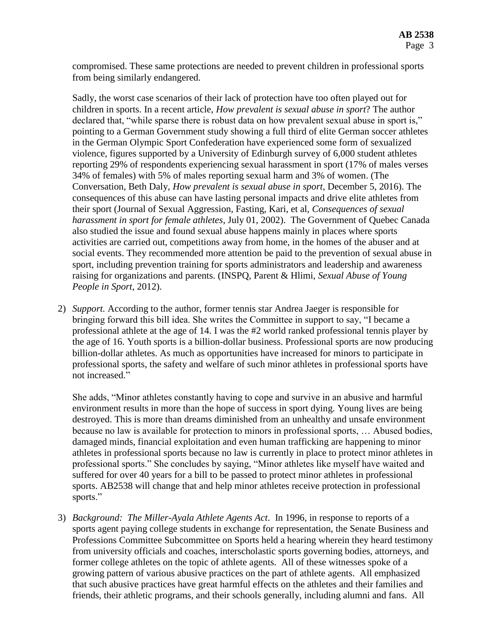compromised. These same protections are needed to prevent children in professional sports from being similarly endangered.

Sadly, the worst case scenarios of their lack of protection have too often played out for children in sports. In a recent article, *How prevalent is sexual abuse in sport*? The author declared that, "while sparse there is robust data on how prevalent sexual abuse in sport is," pointing to a German Government study showing a full third of elite German soccer athletes in the German Olympic Sport Confederation have experienced some form of sexualized violence, figures supported by a University of Edinburgh survey of 6,000 student athletes reporting 29% of respondents experiencing sexual harassment in sport (17% of males verses 34% of females) with 5% of males reporting sexual harm and 3% of women. (The Conversation, Beth Daly, *How prevalent is sexual abuse in sport*, December 5, 2016). The consequences of this abuse can have lasting personal impacts and drive elite athletes from their sport (Journal of Sexual Aggression, Fasting, Kari, et al, *Consequences of sexual harassment in sport for female athletes*, July 01, 2002). The Government of Quebec Canada also studied the issue and found sexual abuse happens mainly in places where sports activities are carried out, competitions away from home, in the homes of the abuser and at social events. They recommended more attention be paid to the prevention of sexual abuse in sport, including prevention training for sports administrators and leadership and awareness raising for organizations and parents. (INSPQ, Parent & Hlimi, *Sexual Abuse of Young People in Sport*, 2012).

2) *Support.* According to the author, former tennis star Andrea Jaeger is responsible for bringing forward this bill idea. She writes the Committee in support to say, "I became a professional athlete at the age of 14. I was the #2 world ranked professional tennis player by the age of 16. Youth sports is a billion-dollar business. Professional sports are now producing billion-dollar athletes. As much as opportunities have increased for minors to participate in professional sports, the safety and welfare of such minor athletes in professional sports have not increased."

She adds, "Minor athletes constantly having to cope and survive in an abusive and harmful environment results in more than the hope of success in sport dying. Young lives are being destroyed. This is more than dreams diminished from an unhealthy and unsafe environment because no law is available for protection to minors in professional sports, … Abused bodies, damaged minds, financial exploitation and even human trafficking are happening to minor athletes in professional sports because no law is currently in place to protect minor athletes in professional sports." She concludes by saying, "Minor athletes like myself have waited and suffered for over 40 years for a bill to be passed to protect minor athletes in professional sports. AB2538 will change that and help minor athletes receive protection in professional sports."

3) *Background: The Miller-Ayala Athlete Agents Act*. In 1996, in response to reports of a sports agent paying college students in exchange for representation, the Senate Business and Professions Committee Subcommittee on Sports held a hearing wherein they heard testimony from university officials and coaches, interscholastic sports governing bodies, attorneys, and former college athletes on the topic of athlete agents. All of these witnesses spoke of a growing pattern of various abusive practices on the part of athlete agents. All emphasized that such abusive practices have great harmful effects on the athletes and their families and friends, their athletic programs, and their schools generally, including alumni and fans. All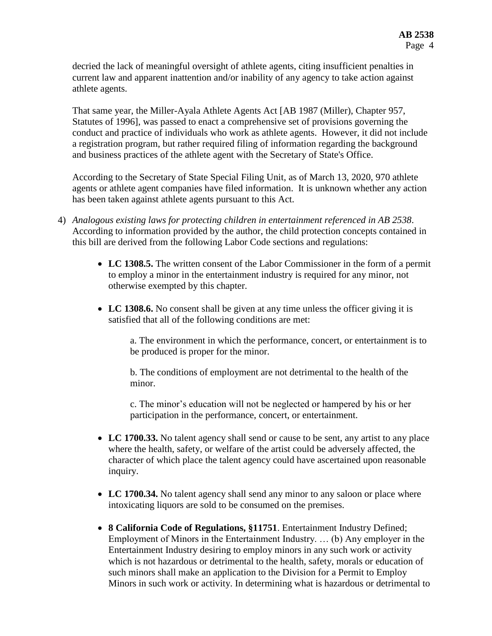decried the lack of meaningful oversight of athlete agents, citing insufficient penalties in current law and apparent inattention and/or inability of any agency to take action against athlete agents.

That same year, the Miller-Ayala Athlete Agents Act [AB 1987 (Miller), Chapter 957, Statutes of 1996], was passed to enact a comprehensive set of provisions governing the conduct and practice of individuals who work as athlete agents. However, it did not include a registration program, but rather required filing of information regarding the background and business practices of the athlete agent with the Secretary of State's Office.

According to the Secretary of State Special Filing Unit, as of March 13, 2020, 970 athlete agents or athlete agent companies have filed information. It is unknown whether any action has been taken against athlete agents pursuant to this Act.

- 4) *Analogous existing laws for protecting children in entertainment referenced in AB 2538*. According to information provided by the author, the child protection concepts contained in this bill are derived from the following Labor Code sections and regulations:
	- **LC 1308.5.** The written consent of the Labor Commissioner in the form of a permit to employ a minor in the entertainment industry is required for any minor, not otherwise exempted by this chapter.
	- LC 1308.6. No consent shall be given at any time unless the officer giving it is satisfied that all of the following conditions are met:

a. The environment in which the performance, concert, or entertainment is to be produced is proper for the minor.

b. The conditions of employment are not detrimental to the health of the minor.

c. The minor's education will not be neglected or hampered by his or her participation in the performance, concert, or entertainment.

- **LC 1700.33.** No talent agency shall send or cause to be sent, any artist to any place where the health, safety, or welfare of the artist could be adversely affected, the character of which place the talent agency could have ascertained upon reasonable inquiry.
- LC 1700.34. No talent agency shall send any minor to any saloon or place where intoxicating liquors are sold to be consumed on the premises.
- **8 California Code of Regulations, §11751**. Entertainment Industry Defined; Employment of Minors in the Entertainment Industry. … (b) Any employer in the Entertainment Industry desiring to employ minors in any such work or activity which is not hazardous or detrimental to the health, safety, morals or education of such minors shall make an application to the Division for a Permit to Employ Minors in such work or activity. In determining what is hazardous or detrimental to